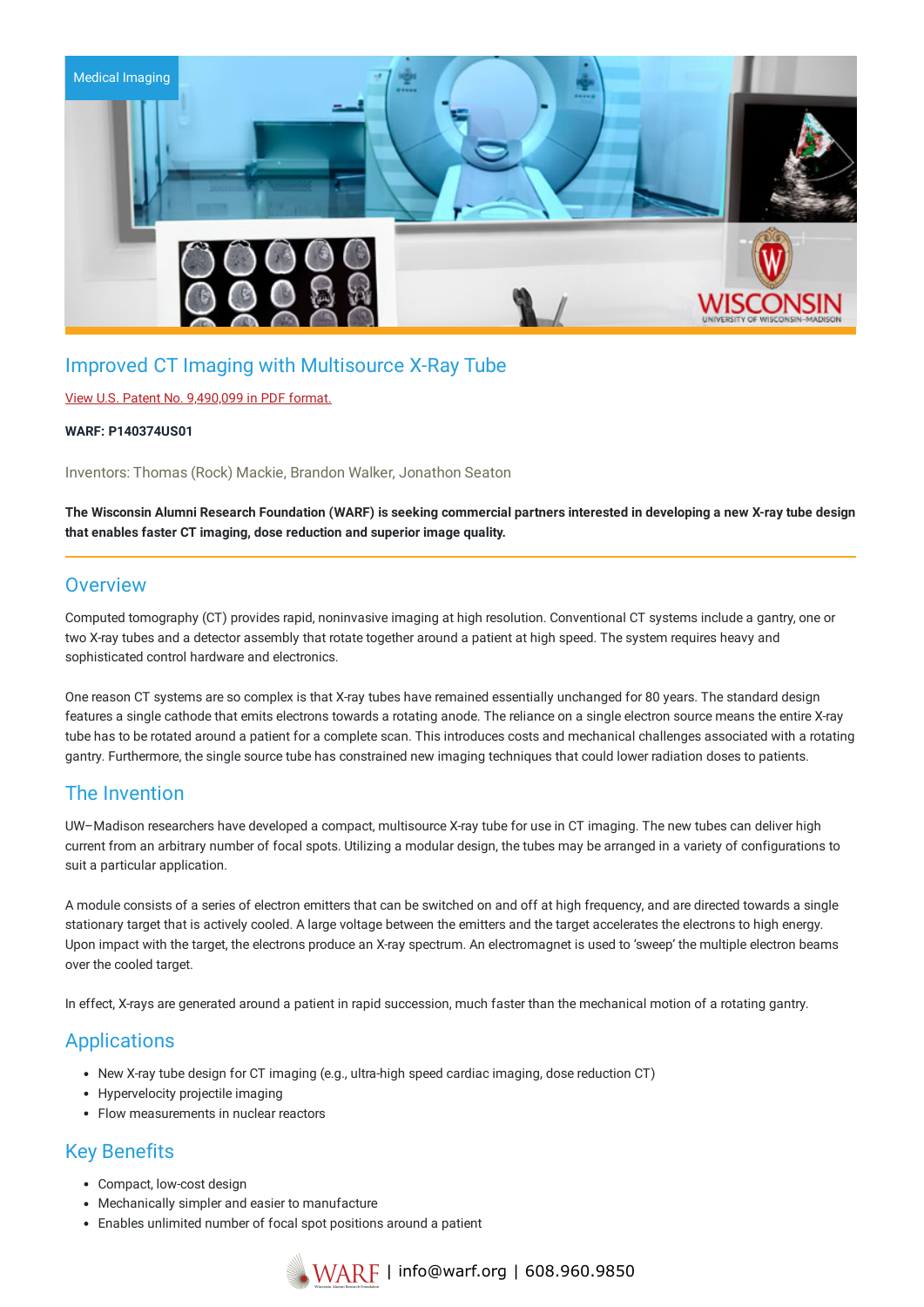

## Improved CT Imaging with Multisource X-Ray Tube

### View U.S. Patent No. [9,490,099](https://www.warf.org/wp-content/uploads/technologies/ipstatus/P140374US01.PDF) in PDF format.

#### **WARF: P140374US01**

Inventors: Thomas (Rock) Mackie, Brandon Walker, Jonathon Seaton

The Wisconsin Alumni Research Foundation (WARF) is seeking commercial partners interested in developing a new X-ray tube design **that enables faster CT imaging, dose reduction and superior image quality.**

### **Overview**

Computed tomography (CT) provides rapid, noninvasive imaging at high resolution. Conventional CT systems include a gantry, one or two X-ray tubes and a detector assembly that rotate together around a patient at high speed. The system requires heavy and sophisticated control hardware and electronics.

One reason CT systems are so complex is that X-ray tubes have remained essentially unchanged for 80 years. The standard design features a single cathode that emits electrons towards a rotating anode. The reliance on a single electron source means the entire X-ray tube has to be rotated around a patient for a complete scan. This introduces costs and mechanical challenges associated with a rotating gantry. Furthermore, the single source tube has constrained new imaging techniques that could lower radiation doses to patients.

### The Invention

UW–Madison researchers have developed a compact, multisource X-ray tube for use in CT imaging. The new tubes can deliver high current from an arbitrary number of focal spots. Utilizing a modular design, the tubes may be arranged in a variety of configurations to suit a particular application.

A module consists of a series of electron emitters that can be switched on and off at high frequency, and are directed towards a single stationary target that is actively cooled. A large voltage between the emitters and the target accelerates the electrons to high energy. Upon impact with the target, the electrons produce an X-ray spectrum. An electromagnet is used to 'sweep' the multiple electron beams over the cooled target.

In effect, X-rays are generated around a patient in rapid succession, much faster than the mechanical motion of a rotating gantry.

### **Applications**

- New X-ray tube design for CT imaging (e.g., ultra-high speed cardiac imaging, dose reduction CT)
- Hypervelocity projectile imaging
- Flow measurements in nuclear reactors

## Key Benefits

- Compact, low-cost design
- Mechanically simpler and easier to manufacture
- Enables unlimited number of focal spot positions around a patient